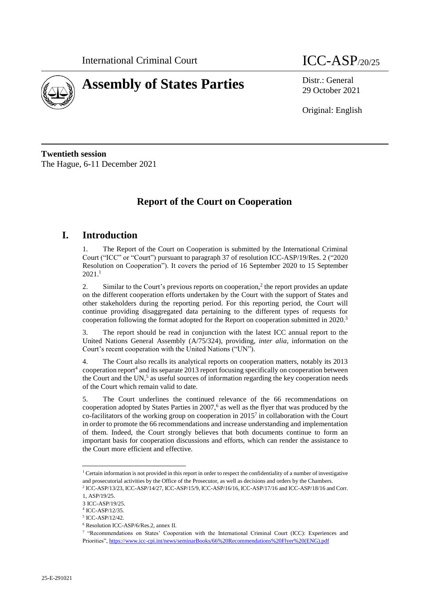

# **Assembly of States Parties** Distr.: General

29 October 2021

Original: English

**Twentieth session** The Hague, 6-11 December 2021

# **Report of the Court on Cooperation**

### **I. Introduction**

1. The Report of the Court on Cooperation is submitted by the International Criminal Court ("ICC" or "Court") pursuant to paragraph 37 of resolution ICC-ASP/19/Res. 2 ("2020 Resolution on Cooperation"). It covers the period of 16 September 2020 to 15 September 2021. 1

2. Similar to the Court's previous reports on cooperation,<sup>2</sup> the report provides an update on the different cooperation efforts undertaken by the Court with the support of States and other stakeholders during the reporting period. For this reporting period, the Court will continue providing disaggregated data pertaining to the different types of requests for cooperation following the format adopted for the Report on cooperation submitted in 2020.<sup>3</sup>

3. The report should be read in conjunction with the latest ICC annual report to the United Nations General Assembly (A/75/324), providing, *inter alia*, information on the Court's recent cooperation with the United Nations ("UN").

4. The Court also recalls its analytical reports on cooperation matters, notably its 2013 cooperation report<sup>4</sup> and its separate 2013 report focusing specifically on cooperation between the Court and the UN,<sup>5</sup> as useful sources of information regarding the key cooperation needs of the Court which remain valid to date.

5. The Court underlines the continued relevance of the 66 recommendations on cooperation adopted by States Parties in  $2007<sup>6</sup>$  as well as the flyer that was produced by the co-facilitators of the working group on cooperation in  $2015<sup>7</sup>$  in collaboration with the Court in order to promote the 66 recommendations and increase understanding and implementation of them. Indeed, the Court strongly believes that both documents continue to form an important basis for cooperation discussions and efforts, which can render the assistance to the Court more efficient and effective.

<sup>&</sup>lt;sup>1</sup> Certain information is not provided in this report in order to respect the confidentiality of a number of investigative and prosecutorial activities by the Office of the Prosecutor, as well as decisions and orders by the Chambers.

<sup>2</sup> ICC-ASP/13/23, ICC-ASP/14/27, ICC-ASP/15/9, ICC-ASP/16/16, ICC-ASP/17/16 and ICC-ASP/18/16 and Corr. 1, ASP/19/25.

<sup>3</sup> ICC-ASP/19/25.

<sup>4</sup> ICC-ASP/12/35.

<sup>5</sup> ICC-ASP/12/42.

<sup>6</sup> Resolution ICC-ASP/6/Res.2, annex II.

<sup>7</sup> "Recommendations on States' Cooperation with the International Criminal Court (ICC): Experiences and Priorities"[, https://www.icc-cpi.int/news/seminarBooks/66%20Recommendations%20Flyer%20\(ENG\).pdf](https://www.icc-cpi.int/news/seminarBooks/66%20Recommendations%20Flyer%20(ENG).pdf)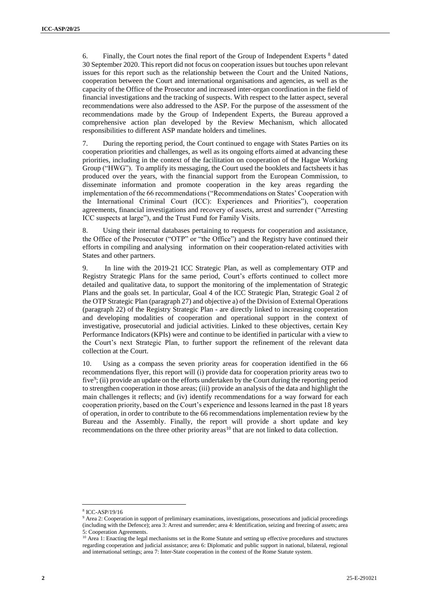6. Finally, the Court notes the final report of the Group of Independent Experts  $\frac{8}{3}$  dated 30 September 2020. This report did not focus on cooperation issues but touches upon relevant issues for this report such as the relationship between the Court and the United Nations, cooperation between the Court and international organisations and agencies, as well as the capacity of the Office of the Prosecutor and increased inter-organ coordination in the field of financial investigations and the tracking of suspects. With respect to the latter aspect, several recommendations were also addressed to the ASP. For the purpose of the assessment of the recommendations made by the Group of Independent Experts, the Bureau approved a comprehensive action plan developed by the Review Mechanism, which allocated responsibilities to different ASP mandate holders and timelines.

7. During the reporting period, the Court continued to engage with States Parties on its cooperation priorities and challenges, as well as its ongoing efforts aimed at advancing these priorities, including in the context of the facilitation on cooperation of the Hague Working Group ("HWG"). To amplify its messaging, the Court used the booklets and factsheets it has produced over the years, with the financial support from the European Commission, to disseminate information and promote cooperation in the key areas regarding the implementation of the 66 recommendations ("Recommendations on States' Cooperation with the International Criminal Court (ICC): Experiences and Priorities"), cooperation agreements, financial investigations and recovery of assets, arrest and surrender ("Arresting ICC suspects at large"), and the Trust Fund for Family Visits.

8. Using their internal databases pertaining to requests for cooperation and assistance, the Office of the Prosecutor ("OTP" or "the Office") and the Registry have continued their efforts in compiling and analysing information on their cooperation-related activities with States and other partners.

9. In line with the 2019-21 ICC Strategic Plan, as well as complementary OTP and Registry Strategic Plans for the same period, Court's efforts continued to collect more detailed and qualitative data, to support the monitoring of the implementation of Strategic Plans and the goals set. In particular, Goal 4 of the ICC Strategic Plan, Strategic Goal 2 of the OTP Strategic Plan (paragraph 27) and objective a) of the Division of External Operations (paragraph 22) of the Registry Strategic Plan - are directly linked to increasing cooperation and developing modalities of cooperation and operational support in the context of investigative, prosecutorial and judicial activities. Linked to these objectives, certain Key Performance Indicators (KPIs) were and continue to be identified in particular with a view to the Court's next Strategic Plan, to further support the refinement of the relevant data collection at the Court.

10. Using as a compass the seven priority areas for cooperation identified in the 66 recommendations flyer, this report will (i) provide data for cooperation priority areas two to five<sup>9</sup>; (ii) provide an update on the efforts undertaken by the Court during the reporting period to strengthen cooperation in those areas; (iii) provide an analysis of the data and highlight the main challenges it reflects; and (iv) identify recommendations for a way forward for each cooperation priority, based on the Court's experience and lessons learned in the past 18 years of operation, in order to contribute to the 66 recommendations implementation review by the Bureau and the Assembly. Finally, the report will provide a short update and key recommendations on the three other priority areas<sup>10</sup> that are not linked to data collection.

<sup>8</sup> ICC-ASP/19/16

<sup>9</sup> Area 2: Cooperation in support of preliminary examinations, investigations, prosecutions and judicial proceedings (including with the Defence); area 3: Arrest and surrender; area 4: Identification, seizing and freezing of assets; area 5: Cooperation Agreements.

<sup>&</sup>lt;sup>10</sup> Area 1: Enacting the legal mechanisms set in the Rome Statute and setting up effective procedures and structures regarding cooperation and judicial assistance; area 6: Diplomatic and public support in national, bilateral, regional and international settings; area 7: Inter-State cooperation in the context of the Rome Statute system.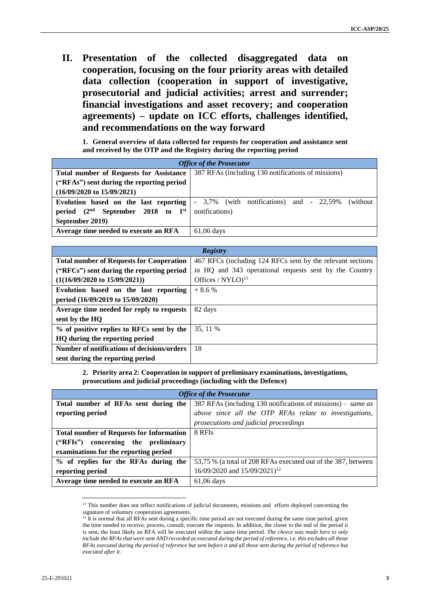**II. Presentation of the collected disaggregated data on cooperation, focusing on the four priority areas with detailed data collection (cooperation in support of investigative, prosecutorial and judicial activities; arrest and surrender; financial investigations and asset recovery; and cooperation agreements) – update on ICC efforts, challenges identified, and recommendations on the way forward**

**1. General overview of data collected for requests for cooperation and assistance sent and received by the OTP and the Registry during the reporting period** 

| <b>Office of the Prosecutor</b>                 |                                                           |  |
|-------------------------------------------------|-----------------------------------------------------------|--|
| <b>Total number of Requests for Assistance</b>  | 387 RFAs (including 130 notifications of missions)        |  |
| ("RFAs") sent during the reporting period       |                                                           |  |
| $(16/09/2020 \text{ to } 15/09/2021)$           |                                                           |  |
| Evolution based on the last reporting           | $-3,7\%$ (with notifications) and $-22,59\%$<br>(without) |  |
| period $(2nd$ September 2018 to 1 <sup>st</sup> | notifications)                                            |  |
| September 2019)                                 |                                                           |  |
| Average time needed to execute an RFA           | $61,06$ days                                              |  |

| Registry                                           |                                                            |
|----------------------------------------------------|------------------------------------------------------------|
| <b>Total number of Requests for Cooperation</b>    | 467 RFCs (including 124 RFCs sent by the relevant sections |
| ("RFCs") sent during the reporting period          | in HQ and 343 operational requests sent by the Country     |
| $(1(16/09/2020 \text{ to } 15/09/2021))$           | Offices / $NYLO$ <sup>11</sup>                             |
| Evolution based on the last reporting              | $+8.6%$                                                    |
| period (16/09/2019 to 15/09/2020)                  |                                                            |
| Average time needed for reply to requests          | 82 days                                                    |
| sent by the HO                                     |                                                            |
| % of positive replies to RFCs sent by the          | 35.11 %                                                    |
| HQ during the reporting period                     |                                                            |
| <b>Number of notifications of decisions/orders</b> | 18                                                         |
| sent during the reporting period                   |                                                            |

**2. Priority area 2: Cooperation in support of preliminary examinations, investigations, prosecutions and judicial proceedings (including with the Defence)**

| <b>Office of the Prosecutor</b>                 |                                                               |
|-------------------------------------------------|---------------------------------------------------------------|
| Total number of RFAs sent during the            | 387 RFAs (including 130 notifications of missions) – same as  |
| reporting period                                | above since all the OTP RFAs relate to investigations,        |
|                                                 | prosecutions and judicial proceedings                         |
| <b>Total number of Requests for Information</b> | 8 RFIs                                                        |
| ("RFIs") concerning the preliminary             |                                                               |
| examinations for the reporting period           |                                                               |
| % of replies for the RFAs during the            | 53,75 % (a total of 208 RFAs executed out of the 387, between |
| reporting period                                | 16/09/2020 and 15/09/2021) <sup>12</sup>                      |
| Average time needed to execute an RFA           | $61,06$ days                                                  |

<sup>&</sup>lt;sup>11</sup> This number does not reflect notifications of judicial documents, missions and efforts deployed concerning the signature of voluntary cooperation agreements.

<sup>&</sup>lt;sup>12</sup> It is normal that all RFAs sent during a specific time period are not executed during the same time period, given the time needed to receive, process, consult, execute the requests. In addition, the closer to the end of the period it is sent, the least likely an RFA will be executed within the same time period. *The choice was made here to only include the RFAs that were sent AND recorded as executed during the period of reference, i.e. this excludes all those RFAs executed during the period of reference but sent before it and all those sent during the period of reference but executed after it.*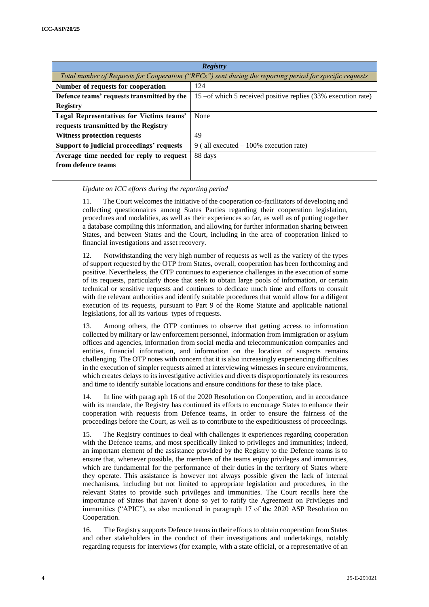| <b>Registry</b>                                                                                          |                                                                |
|----------------------------------------------------------------------------------------------------------|----------------------------------------------------------------|
| Total number of Requests for Cooperation ("RFCs") sent during the reporting period for specific requests |                                                                |
| Number of requests for cooperation                                                                       | 124                                                            |
| Defence teams' requests transmitted by the                                                               | 15 – of which 5 received positive replies (33% execution rate) |
| <b>Registry</b>                                                                                          |                                                                |
| Legal Representatives for Victims teams'                                                                 | None                                                           |
| requests transmitted by the Registry                                                                     |                                                                |
| <b>Witness protection requests</b>                                                                       | 49                                                             |
| Support to judicial proceedings' requests                                                                | 9 (all executed $-100\%$ execution rate)                       |
| Average time needed for reply to request                                                                 | 88 days                                                        |
| from defence teams                                                                                       |                                                                |
|                                                                                                          |                                                                |

#### *Update on ICC efforts during the reporting period*

11. The Court welcomes the initiative of the cooperation co-facilitators of developing and collecting questionnaires among States Parties regarding their cooperation legislation, procedures and modalities, as well as their experiences so far, as well as of putting together a database compiling this information, and allowing for further information sharing between States, and between States and the Court, including in the area of cooperation linked to financial investigations and asset recovery.

12. Notwithstanding the very high number of requests as well as the variety of the types of support requested by the OTP from States, overall, cooperation has been forthcoming and positive. Nevertheless, the OTP continues to experience challenges in the execution of some of its requests, particularly those that seek to obtain large pools of information, or certain technical or sensitive requests and continues to dedicate much time and efforts to consult with the relevant authorities and identify suitable procedures that would allow for a diligent execution of its requests, pursuant to Part 9 of the Rome Statute and applicable national legislations, for all its various types of requests.

13. Among others, the OTP continues to observe that getting access to information collected by military or law enforcement personnel, information from immigration or asylum offices and agencies, information from social media and telecommunication companies and entities, financial information, and information on the location of suspects remains challenging. The OTP notes with concern that it is also increasingly experiencing difficulties in the execution of simpler requests aimed at interviewing witnesses in secure environments, which creates delays to its investigative activities and diverts disproportionately its resources and time to identify suitable locations and ensure conditions for these to take place.

14. In line with paragraph 16 of the 2020 Resolution on Cooperation, and in accordance with its mandate, the Registry has continued its efforts to encourage States to enhance their cooperation with requests from Defence teams, in order to ensure the fairness of the proceedings before the Court, as well as to contribute to the expeditiousness of proceedings.

15. The Registry continues to deal with challenges it experiences regarding cooperation with the Defence teams, and most specifically linked to privileges and immunities; indeed, an important element of the assistance provided by the Registry to the Defence teams is to ensure that, whenever possible, the members of the teams enjoy privileges and immunities, which are fundamental for the performance of their duties in the territory of States where they operate. This assistance is however not always possible given the lack of internal mechanisms, including but not limited to appropriate legislation and procedures, in the relevant States to provide such privileges and immunities. The Court recalls here the importance of States that haven't done so yet to ratify the Agreement on Privileges and immunities ("APIC"), as also mentioned in paragraph 17 of the 2020 ASP Resolution on Cooperation.

16. The Registry supports Defence teams in their efforts to obtain cooperation from States and other stakeholders in the conduct of their investigations and undertakings, notably regarding requests for interviews (for example, with a state official, or a representative of an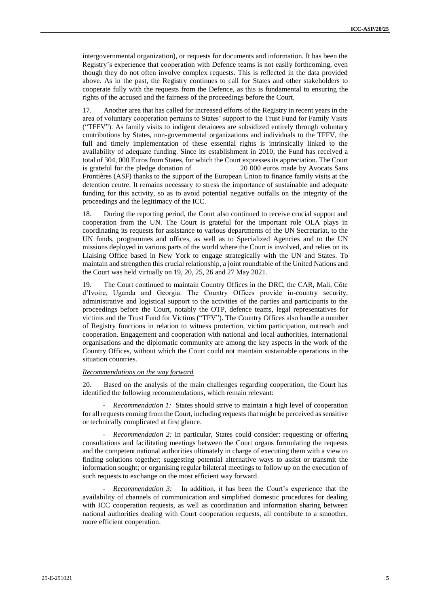intergovernmental organization), or requests for documents and information. It has been the Registry's experience that cooperation with Defence teams is not easily forthcoming, even though they do not often involve complex requests. This is reflected in the data provided above. As in the past, the Registry continues to call for States and other stakeholders to cooperate fully with the requests from the Defence, as this is fundamental to ensuring the rights of the accused and the fairness of the proceedings before the Court.

17. Another area that has called for increased efforts of the Registry in recent years in the area of voluntary cooperation pertains to States' support to the Trust Fund for Family Visits ("TFFV"). As family visits to indigent detainees are subsidized entirely through voluntary contributions by States, non-governmental organizations and individuals to the TFFV, the full and timely implementation of these essential rights is intrinsically linked to the availability of adequate funding. Since its establishment in 2010, the Fund has received a total of 304, 000 Euros from States, for which the Court expresses its appreciation. The Court is grateful for the pledge donation of 20 000 euros made by Avocats Sans Frontières (ASF) thanks to the support of the European Union to finance family visits at the detention centre. It remains necessary to stress the importance of sustainable and adequate funding for this activity, so as to avoid potential negative outfalls on the integrity of the proceedings and the legitimacy of the ICC.

18. During the reporting period, the Court also continued to receive crucial support and cooperation from the UN. The Court is grateful for the important role OLA plays in coordinating its requests for assistance to various departments of the UN Secretariat, to the UN funds, programmes and offices, as well as to Specialized Agencies and to the UN missions deployed in various parts of the world where the Court is involved, and relies on its Liaising Office based in New York to engage strategically with the UN and States. To maintain and strengthen this crucial relationship, a joint roundtable of the United Nations and the Court was held virtually on 19, 20, 25, 26 and 27 May 2021.

19. The Court continued to maintain Country Offices in the DRC, the CAR, Mali, Côte d'Ivoire, Uganda and Georgia. The Country Offices provide in-country security, administrative and logistical support to the activities of the parties and participants to the proceedings before the Court, notably the OTP, defence teams, legal representatives for victims and the Trust Fund for Victims ("TFV"). The Country Offices also handle a number of Registry functions in relation to witness protection, victim participation, outreach and cooperation. Engagement and cooperation with national and local authorities, international organisations and the diplomatic community are among the key aspects in the work of the Country Offices, without which the Court could not maintain sustainable operations in the situation countries.

#### *Recommendations on the way forward*

20. Based on the analysis of the main challenges regarding cooperation, the Court has identified the following recommendations, which remain relevant:

*Recommendation 1:* States should strive to maintain a high level of cooperation for all requests coming from the Court, including requests that might be perceived as sensitive or technically complicated at first glance.

- *Recommendation 2:* In particular, States could consider: requesting or offering consultations and facilitating meetings between the Court organs formulating the requests and the competent national authorities ultimately in charge of executing them with a view to finding solutions together; suggesting potential alternative ways to assist or transmit the information sought; or organising regular bilateral meetings to follow up on the execution of such requests to exchange on the most efficient way forward.

*Recommendation 3:* In addition, it has been the Court's experience that the availability of channels of communication and simplified domestic procedures for dealing with ICC cooperation requests, as well as coordination and information sharing between national authorities dealing with Court cooperation requests, all contribute to a smoother, more efficient cooperation.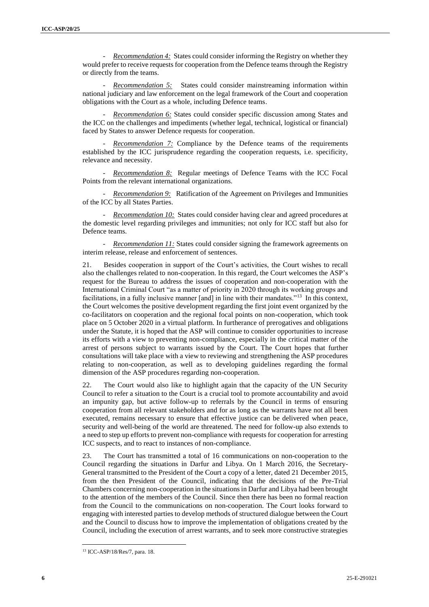- *Recommendation 4:* States could consider informing the Registry on whether they would prefer to receive requests for cooperation from the Defence teams through the Registry or directly from the teams.

Recommendation 5: States could consider mainstreaming information within national judiciary and law enforcement on the legal framework of the Court and cooperation obligations with the Court as a whole, including Defence teams.

- *Recommendation 6:* States could consider specific discussion among States and the ICC on the challenges and impediments (whether legal, technical, logistical or financial) faced by States to answer Defence requests for cooperation.

*Recommendation 7:* Compliance by the Defence teams of the requirements established by the ICC jurisprudence regarding the cooperation requests, i.e. specificity, relevance and necessity.

- *Recommendation 8:* Regular meetings of Defence Teams with the ICC Focal Points from the relevant international organizations.

- *Recommendation 9:* Ratification of the Agreement on Privileges and Immunities of the ICC by all States Parties.

*Recommendation 10:* States could consider having clear and agreed procedures at the domestic level regarding privileges and immunities; not only for ICC staff but also for Defence teams.

*Recommendation 11:* States could consider signing the framework agreements on interim release, release and enforcement of sentences.

21. Besides cooperation in support of the Court's activities, the Court wishes to recall also the challenges related to non-cooperation. In this regard, the Court welcomes the ASP's request for the Bureau to address the issues of cooperation and non-cooperation with the International Criminal Court "as a matter of priority in 2020 through its working groups and facilitations, in a fully inclusive manner [and] in line with their mandates."<sup>13</sup> In this context, the Court welcomes the positive development regarding the first joint event organized by the co-facilitators on cooperation and the regional focal points on non-cooperation, which took place on 5 October 2020 in a virtual platform. In furtherance of prerogatives and obligations under the Statute, it is hoped that the ASP will continue to consider opportunities to increase its efforts with a view to preventing non-compliance, especially in the critical matter of the arrest of persons subject to warrants issued by the Court. The Court hopes that further consultations will take place with a view to reviewing and strengthening the ASP procedures relating to non-cooperation, as well as to developing guidelines regarding the formal dimension of the ASP procedures regarding non-cooperation.

22. The Court would also like to highlight again that the capacity of the UN Security Council to refer a situation to the Court is a crucial tool to promote accountability and avoid an impunity gap, but active follow-up to referrals by the Council in terms of ensuring cooperation from all relevant stakeholders and for as long as the warrants have not all been executed, remains necessary to ensure that effective justice can be delivered when peace, security and well-being of the world are threatened. The need for follow-up also extends to a need to step up efforts to prevent non-compliance with requests for cooperation for arresting ICC suspects, and to react to instances of non-compliance.

23. The Court has transmitted a total of 16 communications on non-cooperation to the Council regarding the situations in Darfur and Libya. On 1 March 2016, the Secretary-General transmitted to the President of the Court a copy of a letter, dated 21 December 2015, from the then President of the Council, indicating that the decisions of the Pre-Trial Chambers concerning non-cooperation in the situations in Darfur and Libya had been brought to the attention of the members of the Council. Since then there has been no formal reaction from the Council to the communications on non-cooperation. The Court looks forward to engaging with interested parties to develop methods of structured dialogue between the Court and the Council to discuss how to improve the implementation of obligations created by the Council, including the execution of arrest warrants, and to seek more constructive strategies

<sup>13</sup> ICC-ASP/18/Res/7, para. 18.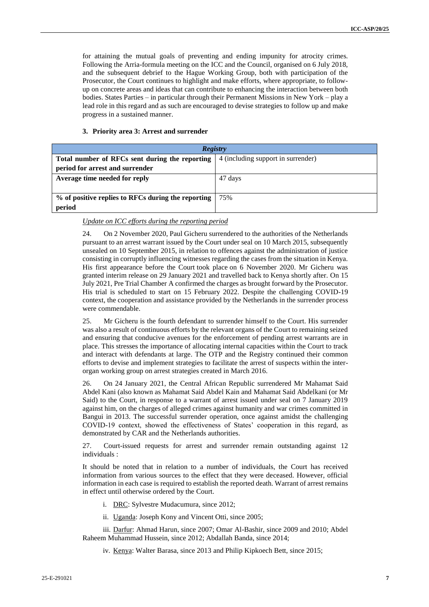for attaining the mutual goals of preventing and ending impunity for atrocity crimes. Following the Arria-formula meeting on the ICC and the Council, organised on 6 July 2018, and the subsequent debrief to the Hague Working Group, both with participation of the Prosecutor, the Court continues to highlight and make efforts, where appropriate, to followup on concrete areas and ideas that can contribute to enhancing the interaction between both bodies. States Parties – in particular through their Permanent Missions in New York – play a lead role in this regard and as such are encouraged to devise strategies to follow up and make progress in a sustained manner.

#### **3. Priority area 3: Arrest and surrender**

| Registry                                           |                                    |  |
|----------------------------------------------------|------------------------------------|--|
| Total number of RFCs sent during the reporting     | 4 (including support in surrender) |  |
| period for arrest and surrender                    |                                    |  |
| Average time needed for reply                      | 47 days                            |  |
|                                                    |                                    |  |
| % of positive replies to RFCs during the reporting | 75%                                |  |
| period                                             |                                    |  |

#### *Update on ICC efforts during the reporting period*

24. On 2 November 2020, Paul Gicheru surrendered to the authorities of the Netherlands pursuant to an arrest warrant issued by the Court under seal on 10 March 2015, subsequently unsealed on 10 September 2015, in relation to offences against the administration of justice consisting in corruptly influencing witnesses regarding the cases from the situation in Kenya. His first appearance before the Court [took place](https://www.icc-cpi.int/Pages/item.aspx?name=pr1545) on 6 November 2020. Mr Gicheru was granted interim release on 29 January 2021 and travelled back to Kenya shortly after. On 15 July 2021, Pre Trial Chamber A confirmed the charges as brought forward by the Prosecutor. His trial is scheduled to start on 15 February 2022. Despite the challenging COVID-19 context, the cooperation and assistance provided by the Netherlands in the surrender process were commendable.

25. Mr Gicheru is the fourth defendant to surrender himself to the Court. His surrender was also a result of continuous efforts by the relevant organs of the Court to remaining seized and ensuring that conducive avenues for the enforcement of pending arrest warrants are in place. This stresses the importance of allocating internal capacities within the Court to track and interact with defendants at large. The OTP and the Registry continued their common efforts to devise and implement strategies to facilitate the arrest of suspects within the interorgan working group on arrest strategies created in March 2016.

26. On 24 January 2021, the Central African Republic surrendered Mr Mahamat Said Abdel Kani (also known as Mahamat Said Abdel Kain and Mahamat Said Abdelkani (or Mr Said) to the Court, in response to a warrant of arrest issued under seal on 7 January 2019 against him, on the charges of alleged crimes against humanity and war crimes committed in Bangui in 2013. The successful surrender operation, once against amidst the challenging COVID-19 context, showed the effectiveness of States' cooperation in this regard, as demonstrated by CAR and the Netherlands authorities.

27. Court-issued requests for arrest and surrender remain outstanding against 12 individuals :

It should be noted that in relation to a number of individuals, the Court has received information from various sources to the effect that they were deceased. However, official information in each case is required to establish the reported death. Warrant of arrest remains in effect until otherwise ordered by the Court.

- i. DRC: Sylvestre Mudacumura, since 2012;
- ii. Uganda: Joseph Kony and Vincent Otti, since 2005;

iii. Darfur: Ahmad Harun, since 2007; Omar Al-Bashir, since 2009 and 2010; Abdel Raheem Muhammad Hussein, since 2012; Abdallah Banda, since 2014;

iv. Kenya: Walter Barasa, since 2013 and Philip Kipkoech Bett, since 2015;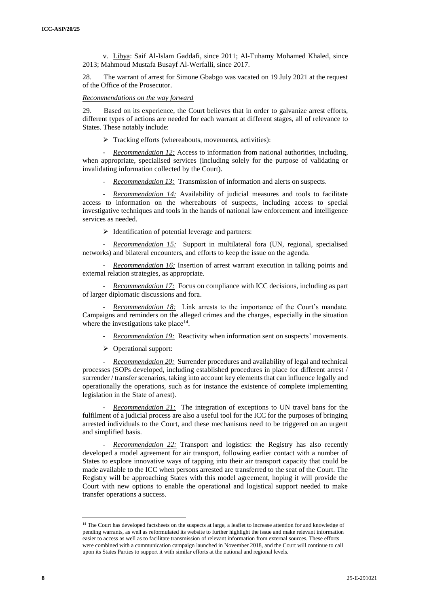v. Libya: Saif Al-Islam Gaddafi, since 2011; Al-Tuhamy Mohamed Khaled, since 2013; Mahmoud Mustafa Busayf Al-Werfalli, since 2017.

28. The warrant of arrest for Simone Gbabgo was vacated on 19 July 2021 at the request of the Office of the Prosecutor.

#### *Recommendations on the way forward*

29. Based on its experience, the Court believes that in order to galvanize arrest efforts, different types of actions are needed for each warrant at different stages, all of relevance to States. These notably include:

 $\triangleright$  Tracking efforts (whereabouts, movements, activities):

*Recommendation 12:* Access to information from national authorities, including, when appropriate, specialised services (including solely for the purpose of validating or invalidating information collected by the Court).

*Recommendation 13:* Transmission of information and alerts on suspects.

Recommendation 14: Availability of judicial measures and tools to facilitate access to information on the whereabouts of suspects, including access to special investigative techniques and tools in the hands of national law enforcement and intelligence services as needed.

 $\triangleright$  Identification of potential leverage and partners:

- *Recommendation 15:* Support in multilateral fora (UN, regional, specialised networks) and bilateral encounters, and efforts to keep the issue on the agenda.

- *Recommendation 16:* Insertion of arrest warrant execution in talking points and external relation strategies, as appropriate.

- *Recommendation 17:* Focus on compliance with ICC decisions, including as part of larger diplomatic discussions and fora.

- *Recommendation 18:* Link arrests to the importance of the Court's mandate. Campaigns and reminders on the alleged crimes and the charges, especially in the situation where the investigations take place $14$ .

- *Recommendation 19:* Reactivity when information sent on suspects' movements.

 $\triangleright$  Operational support:

- *Recommendation 20:* Surrender procedures and availability of legal and technical processes (SOPs developed, including established procedures in place for different arrest / surrender / transfer scenarios, taking into account key elements that can influence legally and operationally the operations, such as for instance the existence of complete implementing legislation in the State of arrest).

*Recommendation 21:* The integration of exceptions to UN travel bans for the fulfilment of a judicial process are also a useful tool for the ICC for the purposes of bringing arrested individuals to the Court, and these mechanisms need to be triggered on an urgent and simplified basis.

- *Recommendation 22:* Transport and logistics: the Registry has also recently developed a model agreement for air transport, following earlier contact with a number of States to explore innovative ways of tapping into their air transport capacity that could be made available to the ICC when persons arrested are transferred to the seat of the Court. The Registry will be approaching States with this model agreement, hoping it will provide the Court with new options to enable the operational and logistical support needed to make transfer operations a success.

<sup>&</sup>lt;sup>14</sup> The Court has developed factsheets on the suspects at large, a leaflet to increase attention for and knowledge of pending warrants, as well as reformulated its website to further highlight the issue and make relevant information easier to access as well as to facilitate transmission of relevant information from external sources. These efforts were combined with a communication campaign launched in November 2018, and the Court will continue to call upon its States Parties to support it with similar efforts at the national and regional levels.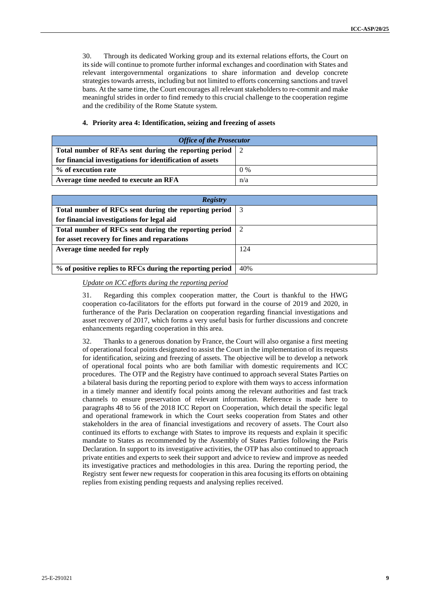30. Through its dedicated Working group and its external relations efforts, the Court on its side will continue to promote further informal exchanges and coordination with States and relevant intergovernmental organizations to share information and develop concrete strategies towards arrests, including but not limited to efforts concerning sanctions and travel bans. At the same time, the Court encourages all relevant stakeholders to re-commit and make meaningful strides in order to find remedy to this crucial challenge to the cooperation regime and the credibility of the Rome Statute system.

#### **4. Priority area 4: Identification, seizing and freezing of assets**

| <b>Office of the Prosecutor</b>                           |       |
|-----------------------------------------------------------|-------|
| Total number of RFAs sent during the reporting period 2   |       |
| for financial investigations for identification of assets |       |
| % of execution rate                                       | $0\%$ |
| Average time needed to execute an RFA                     | n/a   |

| <b>Registry</b>                                           |               |
|-----------------------------------------------------------|---------------|
| Total number of RFCs sent during the reporting period     | - 3           |
| for financial investigations for legal aid                |               |
| Total number of RFCs sent during the reporting period     | $\mathcal{D}$ |
| for asset recovery for fines and reparations              |               |
| Average time needed for reply                             | 124           |
|                                                           |               |
| % of positive replies to RFCs during the reporting period | 40%           |

*Update on ICC efforts during the reporting period*

31. Regarding this complex cooperation matter, the Court is thankful to the HWG cooperation co-facilitators for the efforts put forward in the course of 2019 and 2020, in furtherance of the Paris Declaration on cooperation regarding financial investigations and asset recovery of 2017, which forms a very useful basis for further discussions and concrete enhancements regarding cooperation in this area.

32. Thanks to a generous donation by France, the Court will also organise a first meeting of operational focal points designated to assist the Court in the implementation of its requests for identification, seizing and freezing of assets. The objective will be to develop a network of operational focal points who are both familiar with domestic requirements and ICC procedures. The OTP and the Registry have continued to approach several States Parties on a bilateral basis during the reporting period to explore with them ways to access information in a timely manner and identify focal points among the relevant authorities and fast track channels to ensure preservation of relevant information. Reference is made here to paragraphs 48 to 56 of the 2018 ICC Report on Cooperation, which detail the specific legal and operational framework in which the Court seeks cooperation from States and other stakeholders in the area of financial investigations and recovery of assets. The Court also continued its efforts to exchange with States to improve its requests and explain it specific mandate to States as recommended by the Assembly of States Parties following the Paris Declaration. In support to its investigative activities, the OTP has also continued to approach private entities and experts to seek their support and advice to review and improve as needed its investigative practices and methodologies in this area. During the reporting period, the Registry sent fewer new requests for cooperation in this area focusing its efforts on obtaining replies from existing pending requests and analysing replies received.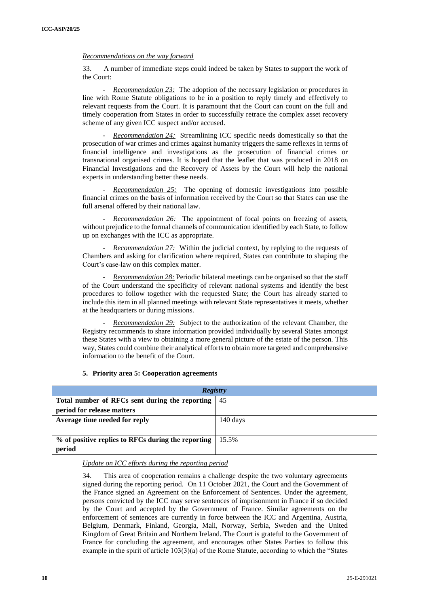*Recommendations on the way forward*

33. A number of immediate steps could indeed be taken by States to support the work of the Court:

- *Recommendation 23:* The adoption of the necessary legislation or procedures in line with Rome Statute obligations to be in a position to reply timely and effectively to relevant requests from the Court. It is paramount that the Court can count on the full and timely cooperation from States in order to successfully retrace the complex asset recovery scheme of any given ICC suspect and/or accused.

- *Recommendation 24:* Streamlining ICC specific needs domestically so that the prosecution of war crimes and crimes against humanity triggers the same reflexes in terms of financial intelligence and investigations as the prosecution of financial crimes or transnational organised crimes. It is hoped that the leaflet that was produced in 2018 on Financial Investigations and the Recovery of Assets by the Court will help the national experts in understanding better these needs.

*Recommendation 25:* The opening of domestic investigations into possible financial crimes on the basis of information received by the Court so that States can use the full arsenal offered by their national law.

*Recommendation 26:* The appointment of focal points on freezing of assets, without prejudice to the formal channels of communication identified by each State, to follow up on exchanges with the ICC as appropriate.

*Recommendation 27:* Within the judicial context, by replying to the requests of Chambers and asking for clarification where required, States can contribute to shaping the Court's case-law on this complex matter.

- *Recommendation 28:* Periodic bilateral meetings can be organised so that the staff of the Court understand the specificity of relevant national systems and identify the best procedures to follow together with the requested State; the Court has already started to include this item in all planned meetings with relevant State representatives it meets, whether at the headquarters or during missions.

*Recommendation 29:* Subject to the authorization of the relevant Chamber, the Registry recommends to share information provided individually by several States amongst these States with a view to obtaining a more general picture of the estate of the person. This way, States could combine their analytical efforts to obtain more targeted and comprehensive information to the benefit of the Court.

#### **5. Priority area 5: Cooperation agreements**

| <b>Registry</b>                                    |            |
|----------------------------------------------------|------------|
| Total number of RFCs sent during the reporting     | 45         |
| period for release matters                         |            |
| Average time needed for reply                      | $140$ days |
|                                                    |            |
| % of positive replies to RFCs during the reporting | 15.5%      |
| period                                             |            |

#### *Update on ICC efforts during the reporting period*

34. This area of cooperation remains a challenge despite the two voluntary agreements signed during the reporting period. On 11 October 2021, the Court and the Government of the France signed an Agreement on the Enforcement of Sentences. Under the agreement, persons convicted by the ICC may serve sentences of imprisonment in France if so decided by the Court and accepted by the Government of France. Similar agreements on the enforcement of sentences are currently in force between the ICC and Argentina, Austria, Belgium, Denmark, Finland, Georgia, Mali, Norway, Serbia, Sweden and the United Kingdom of Great Britain and Northern Ireland. The Court is grateful to the Government of France for concluding the agreement, and encourages other States Parties to follow this example in the spirit of article 103(3)(a) of the Rome Statute, according to which the "States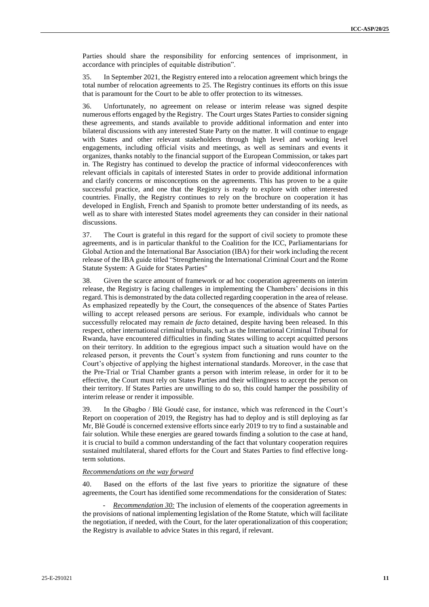Parties should share the responsibility for enforcing sentences of imprisonment, in accordance with principles of equitable distribution".

35. In September 2021, the Registry entered into a relocation agreement which brings the total number of relocation agreements to 25. The Registry continues its efforts on this issue that is paramount for the Court to be able to offer protection to its witnesses.

36. Unfortunately, no agreement on release or interim release was signed despite numerous efforts engaged by the Registry. The Court urges States Parties to consider signing these agreements, and stands available to provide additional information and enter into bilateral discussions with any interested State Party on the matter. It will continue to engage with States and other relevant stakeholders through high level and working level engagements, including official visits and meetings, as well as seminars and events it organizes, thanks notably to the financial support of the European Commission, or takes part in. The Registry has continued to develop the practice of informal videoconferences with relevant officials in capitals of interested States in order to provide additional information and clarify concerns or misconceptions on the agreements. This has proven to be a quite successful practice, and one that the Registry is ready to explore with other interested countries. Finally, the Registry continues to rely on the brochure on cooperation it has developed in English, French and Spanish to promote better understanding of its needs, as well as to share with interested States model agreements they can consider in their national discussions.

37. The Court is grateful in this regard for the support of civil society to promote these agreements, and is in particular thankful to the Coalition for the ICC, Parliamentarians for Global Action and the International Bar Association (IBA) for their work including the recent release of the IBA guide titled "Strengthening the International Criminal Court and the Rome Statute System: A Guide for States Parties"

38. Given the scarce amount of framework or ad hoc cooperation agreements on interim release, the Registry is facing challenges in implementing the Chambers' decisions in this regard. This is demonstrated by the data collected regarding cooperation in the area of release. As emphasized repeatedly by the Court, the consequences of the absence of States Parties willing to accept released persons are serious. For example, individuals who cannot be successfully relocated may remain *de facto* detained, despite having been released. In this respect, other international criminal tribunals, such as the International Criminal Tribunal for Rwanda, have encountered difficulties in finding States willing to accept acquitted persons on their territory. In addition to the egregious impact such a situation would have on the released person, it prevents the Court's system from functioning and runs counter to the Court's objective of applying the highest international standards. Moreover, in the case that the Pre-Trial or Trial Chamber grants a person with interim release, in order for it to be effective, the Court must rely on States Parties and their willingness to accept the person on their territory. If States Parties are unwilling to do so, this could hamper the possibility of interim release or render it impossible.

39. In the Gbagbo / Blé Goudé case, for instance, which was referenced in the Court's Report on cooperation of 2019, the Registry has had to deploy and is still deploying as far Mr, Blè Goudé is concerned extensive efforts since early 2019 to try to find a sustainable and fair solution. While these energies are geared towards finding a solution to the case at hand, it is crucial to build a common understanding of the fact that voluntary cooperation requires sustained multilateral, shared efforts for the Court and States Parties to find effective longterm solutions.

#### *Recommendations on the way forward*

40. Based on the efforts of the last five years to prioritize the signature of these agreements, the Court has identified some recommendations for the consideration of States:

*Recommendation 30:* The inclusion of elements of the cooperation agreements in the provisions of national implementing legislation of the Rome Statute, which will facilitate the negotiation, if needed, with the Court, for the later operationalization of this cooperation; the Registry is available to advice States in this regard, if relevant.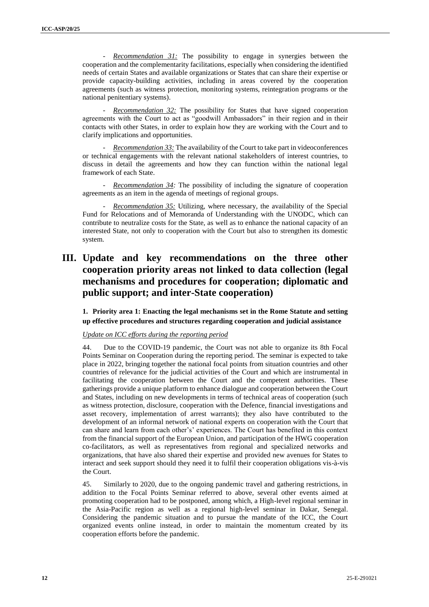*Recommendation 31:* The possibility to engage in synergies between the cooperation and the complementarity facilitations, especially when considering the identified needs of certain States and available organizations or States that can share their expertise or provide capacity-building activities, including in areas covered by the cooperation agreements (such as witness protection, monitoring systems, reintegration programs or the national penitentiary systems).

- *Recommendation 32:* The possibility for States that have signed cooperation agreements with the Court to act as "goodwill Ambassadors" in their region and in their contacts with other States, in order to explain how they are working with the Court and to clarify implications and opportunities.

*Recommendation 33:* The availability of the Court to take part in videoconferences or technical engagements with the relevant national stakeholders of interest countries, to discuss in detail the agreements and how they can function within the national legal framework of each State.

*Recommendation 34:* The possibility of including the signature of cooperation agreements as an item in the agenda of meetings of regional groups.

- *Recommendation 35:* Utilizing, where necessary, the availability of the Special Fund for Relocations and of Memoranda of Understanding with the UNODC, which can contribute to neutralize costs for the State, as well as to enhance the national capacity of an interested State, not only to cooperation with the Court but also to strengthen its domestic system.

## **III. Update and key recommendations on the three other cooperation priority areas not linked to data collection (legal mechanisms and procedures for cooperation; diplomatic and public support; and inter-State cooperation)**

**1. Priority area 1: Enacting the legal mechanisms set in the Rome Statute and setting up effective procedures and structures regarding cooperation and judicial assistance**

#### *Update on ICC efforts during the reporting period*

44. Due to the COVID-19 pandemic, the Court was not able to organize its 8th Focal Points Seminar on Cooperation during the reporting period. The seminar is expected to take place in 2022, bringing together the national focal points from situation countries and other countries of relevance for the judicial activities of the Court and which are instrumental in facilitating the cooperation between the Court and the competent authorities. These gatherings provide a unique platform to enhance dialogue and cooperation between the Court and States, including on new developments in terms of technical areas of cooperation (such as witness protection, disclosure, cooperation with the Defence, financial investigations and asset recovery, implementation of arrest warrants); they also have contributed to the development of an informal network of national experts on cooperation with the Court that can share and learn from each other's' experiences. The Court has benefited in this context from the financial support of the European Union, and participation of the HWG cooperation co-facilitators, as well as representatives from regional and specialized networks and organizations, that have also shared their expertise and provided new avenues for States to interact and seek support should they need it to fulfil their cooperation obligations vis-à-vis the Court.

45. Similarly to 2020, due to the ongoing pandemic travel and gathering restrictions, in addition to the Focal Points Seminar referred to above, several other events aimed at promoting cooperation had to be postponed, among which, a High-level regional seminar in the Asia-Pacific region as well as a regional high-level seminar in Dakar, Senegal. Considering the pandemic situation and to pursue the mandate of the ICC, the Court organized events online instead, in order to maintain the momentum created by its cooperation efforts before the pandemic.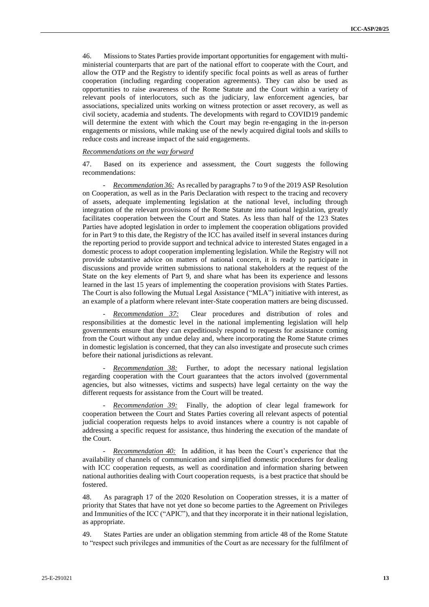46. Missions to States Parties provide important opportunities for engagement with multiministerial counterparts that are part of the national effort to cooperate with the Court, and allow the OTP and the Registry to identify specific focal points as well as areas of further cooperation (including regarding cooperation agreements). They can also be used as opportunities to raise awareness of the Rome Statute and the Court within a variety of relevant pools of interlocutors, such as the judiciary, law enforcement agencies, bar associations, specialized units working on witness protection or asset recovery, as well as civil society, academia and students. The developments with regard to COVID19 pandemic will determine the extent with which the Court may begin re-engaging in the in-person engagements or missions, while making use of the newly acquired digital tools and skills to reduce costs and increase impact of the said engagements.

#### *Recommendations on the way forward*

47. Based on its experience and assessment, the Court suggests the following recommendations:

- *Recommendation 36:* As recalled by paragraphs 7 to 9 of the 2019 ASP Resolution on Cooperation, as well as in the Paris Declaration with respect to the tracing and recovery of assets, adequate implementing legislation at the national level, including through integration of the relevant provisions of the Rome Statute into national legislation, greatly facilitates cooperation between the Court and States. As less than half of the 123 States Parties have adopted legislation in order to implement the cooperation obligations provided for in Part 9 to this date, the Registry of the ICC has availed itself in several instances during the reporting period to provide support and technical advice to interested States engaged in a domestic process to adopt cooperation implementing legislation. While the Registry will not provide substantive advice on matters of national concern, it is ready to participate in discussions and provide written submissions to national stakeholders at the request of the State on the key elements of Part 9, and share what has been its experience and lessons learned in the last 15 years of implementing the cooperation provisions with States Parties. The Court is also following the Mutual Legal Assistance ("MLA") initiative with interest, as an example of a platform where relevant inter-State cooperation matters are being discussed.

- *Recommendation 37:* Clear procedures and distribution of roles and responsibilities at the domestic level in the national implementing legislation will help governments ensure that they can expeditiously respond to requests for assistance coming from the Court without any undue delay and, where incorporating the Rome Statute crimes in domestic legislation is concerned, that they can also investigate and prosecute such crimes before their national jurisdictions as relevant.

- *Recommendation 38:* Further, to adopt the necessary national legislation regarding cooperation with the Court guarantees that the actors involved (governmental agencies, but also witnesses, victims and suspects) have legal certainty on the way the different requests for assistance from the Court will be treated.

*Recommendation 39:* Finally, the adoption of clear legal framework for cooperation between the Court and States Parties covering all relevant aspects of potential judicial cooperation requests helps to avoid instances where a country is not capable of addressing a specific request for assistance, thus hindering the execution of the mandate of the Court.

- *Recommendation 40:* In addition, it has been the Court's experience that the availability of channels of communication and simplified domestic procedures for dealing with ICC cooperation requests, as well as coordination and information sharing between national authorities dealing with Court cooperation requests, is a best practice that should be fostered.

48. As paragraph 17 of the 2020 Resolution on Cooperation stresses, it is a matter of priority that States that have not yet done so become parties to the Agreement on Privileges and Immunities of the ICC ("APIC"), and that they incorporate it in their national legislation, as appropriate.

49. States Parties are under an obligation stemming from article 48 of the Rome Statute to "respect such privileges and immunities of the Court as are necessary for the fulfilment of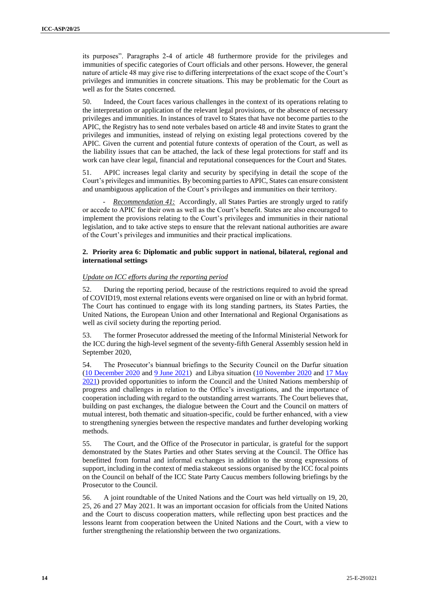its purposes". Paragraphs 2-4 of article 48 furthermore provide for the privileges and immunities of specific categories of Court officials and other persons. However, the general nature of article 48 may give rise to differing interpretations of the exact scope of the Court's privileges and immunities in concrete situations. This may be problematic for the Court as well as for the States concerned.

50. Indeed, the Court faces various challenges in the context of its operations relating to the interpretation or application of the relevant legal provisions, or the absence of necessary privileges and immunities. In instances of travel to States that have not become parties to the APIC, the Registry has to send note verbales based on article 48 and invite States to grant the privileges and immunities, instead of relying on existing legal protections covered by the APIC. Given the current and potential future contexts of operation of the Court, as well as the liability issues that can be attached, the lack of these legal protections for staff and its work can have clear legal, financial and reputational consequences for the Court and States.

51. APIC increases legal clarity and security by specifying in detail the scope of the Court's privileges and immunities. By becoming parties to APIC, States can ensure consistent and unambiguous application of the Court's privileges and immunities on their territory.

*Recommendation 41:* Accordingly, all States Parties are strongly urged to ratify or accede to APIC for their own as well as the Court's benefit. States are also encouraged to implement the provisions relating to the Court's privileges and immunities in their national legislation, and to take active steps to ensure that the relevant national authorities are aware of the Court's privileges and immunities and their practical implications.

#### **2. Priority area 6: Diplomatic and public support in national, bilateral, regional and international settings**

#### *Update on ICC efforts during the reporting period*

52. During the reporting period, because of the restrictions required to avoid the spread of COVID19, most external relations events were organised on line or with an hybrid format. The Court has continued to engage with its long standing partners, its States Parties, the United Nations, the European Union and other International and Regional Organisations as well as civil society during the reporting period.

53. The former Prosecutor addressed the meeting of the Informal Ministerial Network for the ICC during the high-level segment of the seventy-fifth General Assembly session held in September 2020,

54. The Prosecutor's biannual briefings to the Security Council on the Darfur situation [\(10 December 2020](https://www.icc-cpi.int/Pages/item.aspx?name=201210-prosecutor-statement-unsc-darfur) and [9 June 2021\)](https://www.icc-cpi.int/Pages/item.aspx?name=2106-prosecutor-statement-unsc-darfour) and Libya situation [\(10 November 2020](https://www.icc-cpi.int/Pages/item.aspx?name=201110-icc-prosecutor-statement-unsc-libya) and [17 May](https://www.icc-cpi.int/Pages/item.aspx?name=210517-otp-statement-unsc-libya)  [2021\)](https://www.icc-cpi.int/Pages/item.aspx?name=210517-otp-statement-unsc-libya) provided opportunities to inform the Council and the United Nations membership of progress and challenges in relation to the Office's investigations, and the importance of cooperation including with regard to the outstanding arrest warrants. The Court believes that, building on past exchanges, the dialogue between the Court and the Council on matters of mutual interest, both thematic and situation-specific, could be further enhanced, with a view to strengthening synergies between the respective mandates and further developing working methods.

55. The Court, and the Office of the Prosecutor in particular, is grateful for the support demonstrated by the States Parties and other States serving at the Council. The Office has benefitted from formal and informal exchanges in addition to the strong expressions of support, including in the context of media stakeout sessions organised by the ICC focal points on the Council on behalf of the ICC State Party Caucus members following briefings by the Prosecutor to the Council.

56. A joint roundtable of the United Nations and the Court was held virtually on 19, 20, 25, 26 and 27 May 2021. It was an important occasion for officials from the United Nations and the Court to discuss cooperation matters, while reflecting upon best practices and the lessons learnt from cooperation between the United Nations and the Court, with a view to further strengthening the relationship between the two organizations.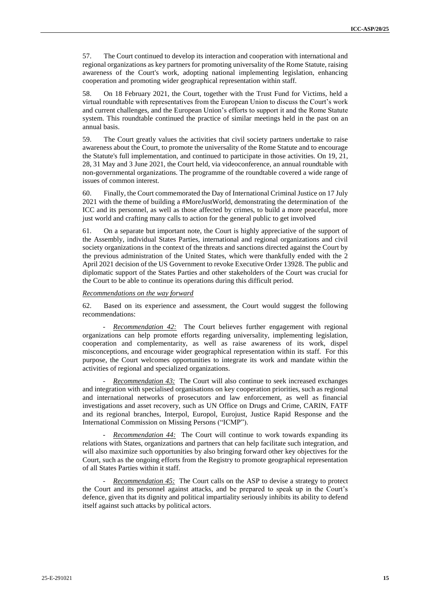57. The Court continued to develop its interaction and cooperation with international and regional organizations as key partners for promoting universality of the Rome Statute, raising awareness of the Court's work, adopting national implementing legislation, enhancing cooperation and promoting wider geographical representation within staff.

58. On 18 February 2021, the Court, together with the Trust Fund for Victims, held a virtual roundtable with representatives from the European Union to discuss the Court's work and current challenges, and the European Union's efforts to support it and the Rome Statute system. This roundtable continued the practice of similar meetings held in the past on an annual basis.

59. The Court greatly values the activities that civil society partners undertake to raise awareness about the Court, to promote the universality of the Rome Statute and to encourage the Statute's full implementation, and continued to participate in those activities. On 19, 21, 28, 31 May and 3 June 2021, the Court held, via videoconference, an annual roundtable with non-governmental organizations. The programme of the roundtable covered a wide range of issues of common interest.

60. Finally, the Court commemorated the Day of International Criminal Justice on 17 July 2021 with the theme of building a #MoreJustWorld, demonstrating the determination of the ICC and its personnel, as well as those affected by crimes, to build a more peaceful, more just world and crafting many calls to action for the general public to get involved

61. On a separate but important note, the Court is highly appreciative of the support of the Assembly, individual States Parties, international and regional organizations and civil society organizations in the context of the threats and sanctions directed against the Court by the previous administration of the United States, which were thankfully ended with the 2 April 2021 decision of the US Government to revoke Executive Order 13928. The public and diplomatic support of the States Parties and other stakeholders of the Court was crucial for the Court to be able to continue its operations during this difficult period.

#### *Recommendations on the way forward*

62. Based on its experience and assessment, the Court would suggest the following recommendations:

*Recommendation 42:* The Court believes further engagement with regional organizations can help promote efforts regarding universality, implementing legislation, cooperation and complementarity, as well as raise awareness of its work, dispel misconceptions, and encourage wider geographical representation within its staff. For this purpose, the Court welcomes opportunities to integrate its work and mandate within the activities of regional and specialized organizations.

*Recommendation 43:* The Court will also continue to seek increased exchanges and integration with specialised organisations on key cooperation priorities, such as regional and international networks of prosecutors and law enforcement, as well as financial investigations and asset recovery, such as UN Office on Drugs and Crime, CARIN, FATF and its regional branches, Interpol, Europol, Eurojust, Justice Rapid Response and the International Commission on Missing Persons ("ICMP").

Recommendation 44: The Court will continue to work towards expanding its relations with States, organizations and partners that can help facilitate such integration, and will also maximize such opportunities by also bringing forward other key objectives for the Court, such as the ongoing efforts from the Registry to promote geographical representation of all States Parties within it staff.

*Recommendation 45:* The Court calls on the ASP to devise a strategy to protect the Court and its personnel against attacks, and be prepared to speak up in the Court's defence, given that its dignity and political impartiality seriously inhibits its ability to defend itself against such attacks by political actors.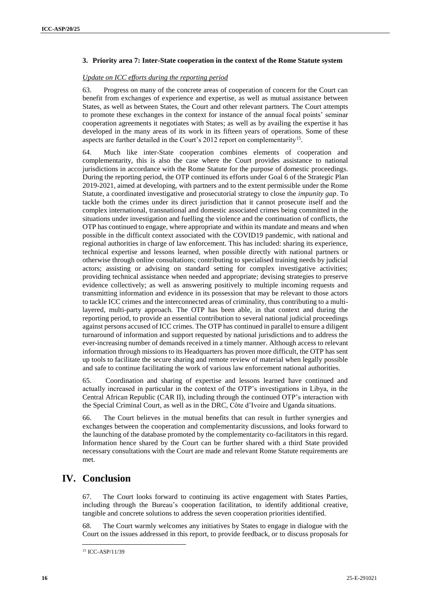#### **3. Priority area 7: Inter-State cooperation in the context of the Rome Statute system**

#### *Update on ICC efforts during the reporting period*

63. Progress on many of the concrete areas of cooperation of concern for the Court can benefit from exchanges of experience and expertise, as well as mutual assistance between States, as well as between States, the Court and other relevant partners. The Court attempts to promote these exchanges in the context for instance of the annual focal points' seminar cooperation agreements it negotiates with States; as well as by availing the expertise it has developed in the many areas of its work in its fifteen years of operations. Some of these aspects are further detailed in the Court's 2012 report on complementarity<sup>15</sup>.

64. Much like inter-State cooperation combines elements of cooperation and complementarity, this is also the case where the Court provides assistance to national jurisdictions in accordance with the Rome Statute for the purpose of domestic proceedings. During the reporting period, the OTP continued its efforts under Goal 6 of the Strategic Plan 2019-2021, aimed at developing, with partners and to the extent permissible under the Rome Statute, a coordinated investigative and prosecutorial strategy to close the *impunity gap*. To tackle both the crimes under its direct jurisdiction that it cannot prosecute itself and the complex international, transnational and domestic associated crimes being committed in the situations under investigation and fuelling the violence and the continuation of conflicts, the OTP has continued to engage, where appropriate and within its mandate and means and when possible in the difficult context associated with the COVID19 pandemic, with national and regional authorities in charge of law enforcement. This has included: sharing its experience, technical expertise and lessons learned, when possible directly with national partners or otherwise through online consultations; contributing to specialised training needs by judicial actors; assisting or advising on standard setting for complex investigative activities; providing technical assistance when needed and appropriate; devising strategies to preserve evidence collectively; as well as answering positively to multiple incoming requests and transmitting information and evidence in its possession that may be relevant to those actors to tackle ICC crimes and the interconnected areas of criminality, thus contributing to a multilayered, multi-party approach. The OTP has been able, in that context and during the reporting period, to provide an essential contribution to several national judicial proceedings against persons accused of ICC crimes. The OTP has continued in parallel to ensure a diligent turnaround of information and support requested by national jurisdictions and to address the ever-increasing number of demands received in a timely manner. Although access to relevant information through missions to its Headquarters has proven more difficult, the OTP has sent up tools to facilitate the secure sharing and remote review of material when legally possible and safe to continue facilitating the work of various law enforcement national authorities.

65. Coordination and sharing of expertise and lessons learned have continued and actually increased in particular in the context of the OTP's investigations in Libya, in the Central African Republic (CAR II), including through the continued OTP's interaction with the Special Criminal Court, as well as in the DRC, Côte d'Ivoire and Uganda situations.

66. The Court believes in the mutual benefits that can result in further synergies and exchanges between the cooperation and complementarity discussions, and looks forward to the launching of the database promoted by the complementarity co-facilitators in this regard. Information hence shared by the Court can be further shared with a third State provided necessary consultations with the Court are made and relevant Rome Statute requirements are met.

### **IV. Conclusion**

67. The Court looks forward to continuing its active engagement with States Parties, including through the Bureau's cooperation facilitation, to identify additional creative, tangible and concrete solutions to address the seven cooperation priorities identified.

The Court warmly welcomes any initiatives by States to engage in dialogue with the Court on the issues addressed in this report, to provide feedback, or to discuss proposals for

<sup>15</sup> ICC-ASP/11/39